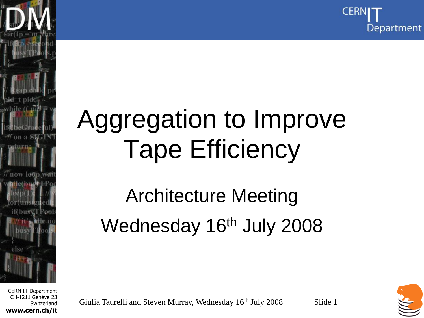

### Aggregation to Improve Tape Efficiency

#### Architecture Meeting Wednesday 16<sup>th</sup> July 2008

CERN IT Department CH-1211 Genève 23 **Switzerland www.cern.ch/it**

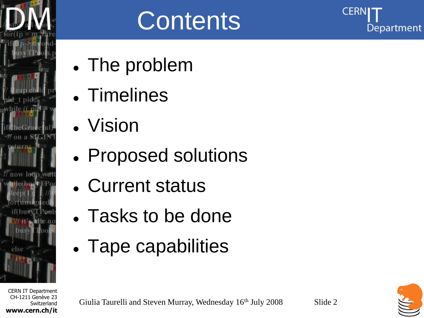

#### **Contents**

- The problem
- Timelines
- Vision
- Proposed solutions
- Current status
- Tasks to be done
- Tape capabilities

CERN IT Department CH-1211 Genève 23 **Switzerland www.cern.ch/it**

Giulia Taurelli and Steven Murray, Wednesday 16<sup>th</sup> July 2008 Slide 2

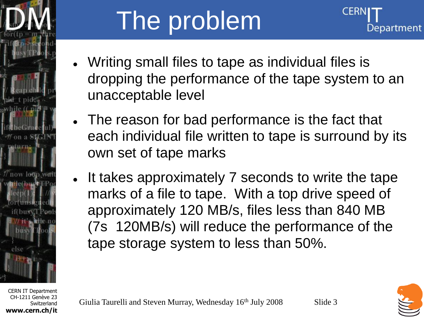

# The problem



- Writing small files to tape as individual files is dropping the performance of the tape system to an unacceptable level
- The reason for bad performance is the fact that each individual file written to tape is surround by its own set of tape marks
- It takes approximately 7 seconds to write the tape marks of a file to tape. With a top drive speed of approximately 120 MB/s, files less than 840 MB (7s 120MB/s) will reduce the performance of the tape storage system to less than 50%.

CERN IT Department CH-1211 Genève 23 **Switzerland www.cern.ch/it**

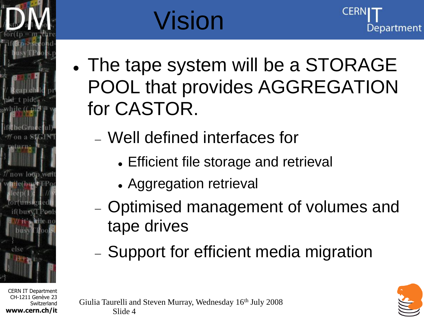

**Switzerland** 

**www.cern.ch/it**

# Vision



- The tape system will be a STORAGE POOL that provides AGGREGATION for CASTOR.
	- Well defined interfaces for
		- Efficient file storage and retrieval
		- Aggregation retrieval
	- Optimised management of volumes and tape drives
	- Support for efficient media migration

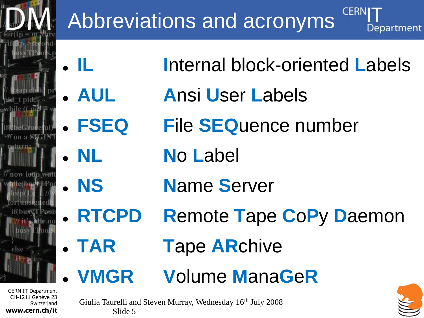

#### Abbreviations and acronyms

- 
- 
- **IL I**nternal block-oriented **L**abels
- **AUL A**nsi **U**ser **L**abels
- **FSEQ F**ile **SEQ**uence number
- **NL N**o **L**abel
- 
- **NS N**ame **S**erver
- **RTCPD R**emote **T**ape **C**o**P**y **D**aemon
- **TAR T**ape **AR**chive
- **VMGR V**olume **M**ana**G**e**R**

CH-1211 Genève 23 **Switzerland www.cern.ch/it**

Giulia Taurelli and Steven Murray, Wednesday 16th July 2008 Slide 5

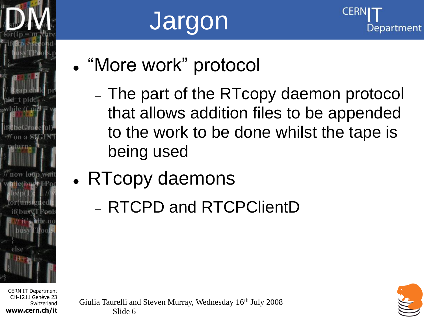

CERN IT Department CH-1211 Genève 23 **Switzerland www.cern.ch/it**

# Jargon



- "More work" protocol
	- The part of the RTcopy daemon protocol that allows addition files to be appended to the work to be done whilst the tape is being used
	- RTcopy daemons
		- RTCPD and RTCPClientD

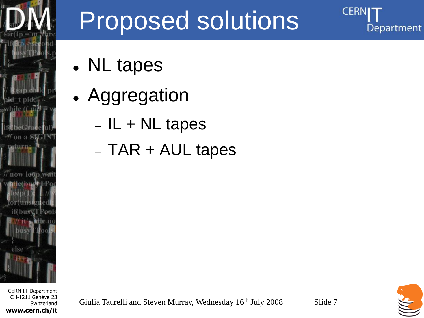

#### CERN IT Department CH-1211 Genève 23 **Switzerland www.cern.ch/it**

## Proposed solutions

- NL tapes
- Aggregation
	- $-IL + NL$  tapes
	- $-$  TAR  $+$  AUL tapes

CERI

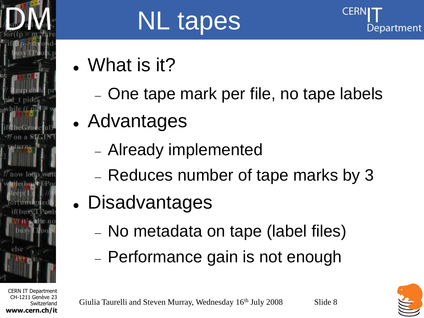

**Switzerland** 

**www.cern.ch/it**

# NL tapes



- What is it?
	- One tape mark per file, no tape labels
- Advantages
	- Already implemented
	- Reduces number of tape marks by 3
- Disadvantages
	- No metadata on tape (label files)
	- Performance gain is not enough



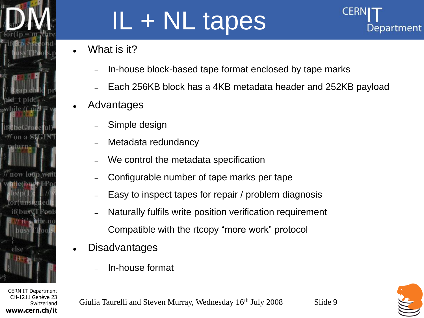

**www.cern.ch/it**

# IL + NL tapes

- What is it?
	- In-house block-based tape format enclosed by tape marks
	- Each 256KB block has a 4KB metadata header and 252KB payload
- Advantages
	- Simple design
	- Metadata redundancy
	- We control the metadata specification
	- Configurable number of tape marks per tape
	- Easy to inspect tapes for repair / problem diagnosis
	- Naturally fulfils write position verification requirement
	- Compatible with the rtcopy "more work" protocol
- **Disadvantages** 
	- In-house format

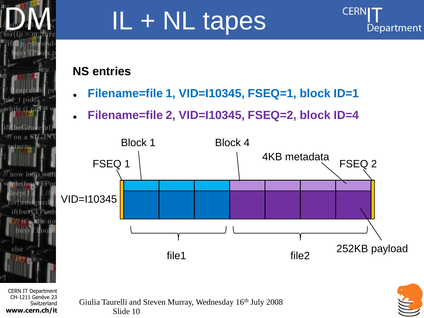

## IL + NL tapes



#### **NS entries**

- **Filename=file 1, VID=I10345, FSEQ=1, block ID=1**
- **Filename=file 2, VID=I10345, FSEQ=2, block ID=4**



CERN IT Department CH-1211 Genève 23 **Switzerland www.cern.ch/it**

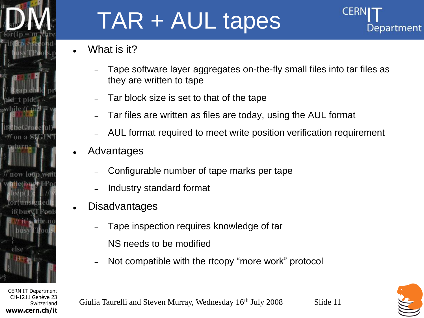

#### TAR + AUL tapes

Department

- What is it?
	- Tape software layer aggregates on-the-fly small files into tar files as they are written to tape
	- Tar block size is set to that of the tape
	- Tar files are written as files are today, using the AUL format
	- AUL format required to meet write position verification requirement
- Advantages
	- Configurable number of tape marks per tape
	- Industry standard format
- **Disadvantages** 
	- Tape inspection requires knowledge of tar
	- NS needs to be modified
	- Not compatible with the rtcopy "more work" protocol



Giulia Taurelli and Steven Murray, Wednesday 16<sup>th</sup> July 2008 Slide 11

CERN IT Department CH-1211 Genève 23 **Switzerland www.cern.ch/it**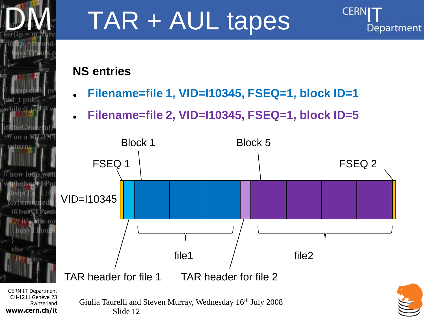

## TAR + AUL tapes

#### **NS entries**

**Filename=file 1, VID=I10345, FSEQ=1, block ID=1**

**CERN** 

Department

**Filename=file 2, VID=I10345, FSEQ=1, block ID=5**



CH-1211 Genève 23 **Switzerland www.cern.ch/it**

Slide 12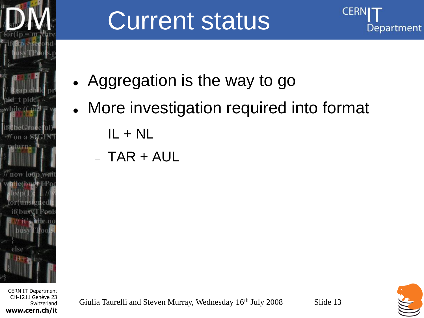

#### CERN IT Department CH-1211 Genève 23 **Switzerland www.cern.ch/it**

#### Current status



- More investigation required into format
	- $-IL + NL$
	- $-$  TAR + AUL

Giulia Taurelli and Steven Murray, Wednesday 16<sup>th</sup> July 2008 Slide 13

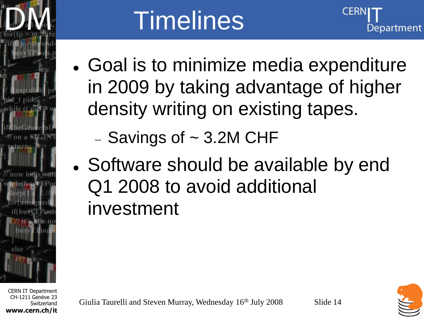

# **Timelines**

- Goal is to minimize media expenditure in 2009 by taking advantage of higher density writing on existing tapes.
	- $-$  Savings of  $\sim$  3.2M CHF
- Software should be available by end Q1 2008 to avoid additional investment

CERN IT Department CH-1211 Genève 23 **Switzerland www.cern.ch/it**



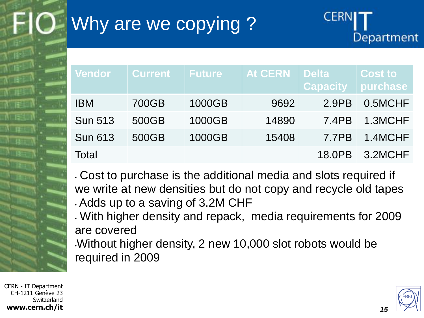NL E

#### Why are we copying ?



• Cost to purchase is the additional media and slots required if we write at new densities but do not copy and recycle old tapes • Adds up to a saving of 3.2M CHF

• With higher density and repack, media requirements for 2009 are covered

•Without higher density, 2 new 10,000 slot robots would be required in 2009

CERN - IT Department CH-1211 Genève 23 Switzerland **www.cern.ch/it**



*15*

**CERN**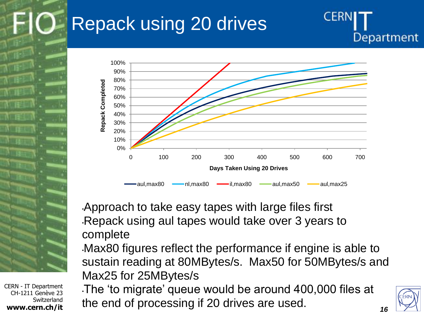#### Repack using 20 drives



•Approach to take easy tapes with large files first •Repack using aul tapes would take over 3 years to complete

•Max80 figures reflect the performance if engine is able to sustain reading at 80MBytes/s. Max50 for 50MBytes/s and Max25 for 25MBytes/s

•The "to migrate" queue would be around 400,000 files at the end of processing if 20 drives are used.



*16*

CERN

Department

CERN - IT Department CH-1211 Genève 23 Switzerland **www.cern.ch/it**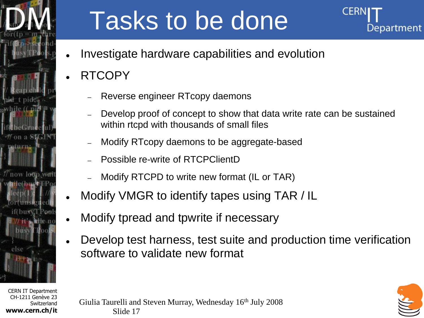

## Tasks to be done



- Investigate hardware capabilities and evolution
- RTCOPY
	- Reverse engineer RTcopy daemons
	- Develop proof of concept to show that data write rate can be sustained within rtcpd with thousands of small files
	- Modify RTcopy daemons to be aggregate-based
	- Possible re-write of RTCPClientD
	- Modify RTCPD to write new format (IL or TAR)
- Modify VMGR to identify tapes using TAR / IL
- Modify tpread and tpwrite if necessary
- Develop test harness, test suite and production time verification software to validate new format

CERN IT Department CH-1211 Genève 23 **Switzerland www.cern.ch/it**



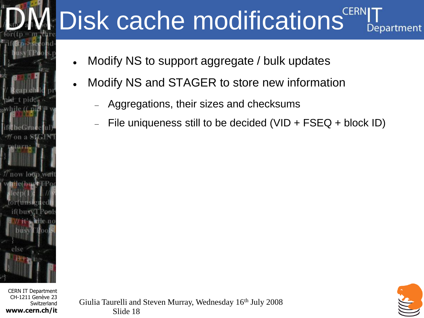#### Disk cache modifications<sup>CERN</sup> Department

- Modify NS to support aggregate / bulk updates
- Modify NS and STAGER to store new information
	- Aggregations, their sizes and checksums
	- File uniqueness still to be decided (VID + FSEQ + block ID)